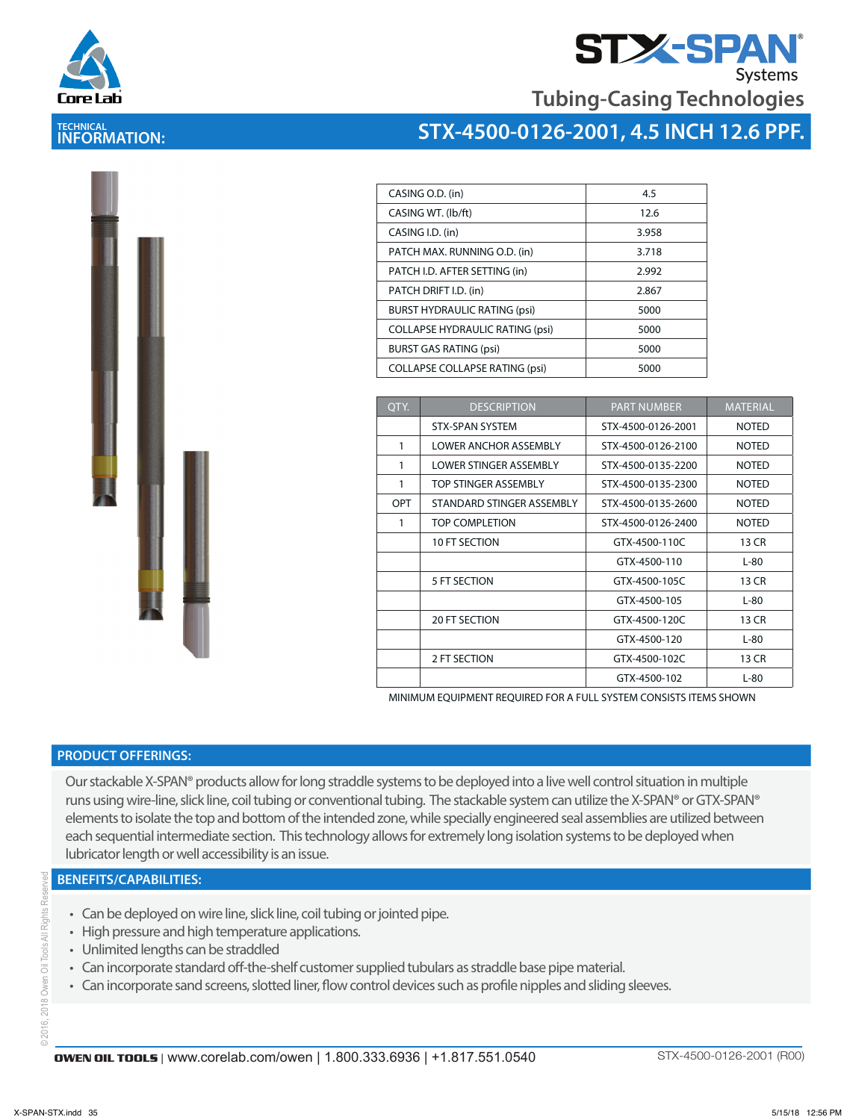

**TECHNICAL INFORMATION:** 



**Tubing-Casing Technologies**

### **STX-4500-0126-2001, 4.5 INCH 12.6 PPF.**

| CASING O.D. (in)                       | 4.5   |
|----------------------------------------|-------|
| CASING WT. (lb/ft)                     | 12.6  |
| CASING I.D. (in)                       | 3.958 |
| PATCH MAX. RUNNING O.D. (in)           | 3.718 |
| PATCH I.D. AFTER SETTING (in)          | 2.992 |
| PATCH DRIFT I.D. (in)                  | 2.867 |
| <b>BURST HYDRAULIC RATING (psi)</b>    | 5000  |
| <b>COLLAPSE HYDRAULIC RATING (psi)</b> | 5000  |
| <b>BURST GAS RATING (psi)</b>          | 5000  |
| <b>COLLAPSE COLLAPSE RATING (psi)</b>  | 5000  |
|                                        |       |

| OTY.       | <b>DESCRIPTION</b>        | <b>PART NUMBER</b> | <b>MATERIAL</b> |
|------------|---------------------------|--------------------|-----------------|
|            | <b>STX-SPAN SYSTEM</b>    | STX-4500-0126-2001 | <b>NOTED</b>    |
| 1          | LOWER ANCHOR ASSEMBLY     | STX-4500-0126-2100 | <b>NOTED</b>    |
| 1          | LOWER STINGER ASSEMBLY    | STX-4500-0135-2200 | <b>NOTED</b>    |
| 1          | TOP STINGER ASSEMBLY      | STX-4500-0135-2300 | <b>NOTED</b>    |
| <b>OPT</b> | STANDARD STINGER ASSEMBLY | STX-4500-0135-2600 | <b>NOTED</b>    |
| 1          | TOP COMPLETION            | STX-4500-0126-2400 | <b>NOTED</b>    |
|            | <b>10 FT SECTION</b>      | GTX-4500-110C      | 13 CR           |
|            |                           | GTX-4500-110       | $L-80$          |
|            | 5 FT SECTION              | GTX-4500-105C      | 13 CR           |
|            |                           | GTX-4500-105       | $L-80$          |
|            | <b>20 FT SECTION</b>      | GTX-4500-120C      | 13 CR           |
|            |                           | GTX-4500-120       | $L-80$          |
|            | 2 FT SECTION              | GTX-4500-102C      | 13 CR           |
|            |                           | GTX-4500-102       | $L-80$          |

MINIMUM EQUIPMENT REQUIRED FOR A FULL SYSTEM CONSISTS ITEMS SHOWN

### **PRODUCT OFFERINGS:**

Our stackable X-SPAN® products allow for long straddle systems to be deployed into a live well control situation in multiple runs using wire-line, slick line, coil tubing or conventional tubing. The stackable system can utilize the X-SPAN® or GTX-SPAN® elements to isolate the top and bottom of the intended zone, while specially engineered seal assemblies are utilized between each sequential intermediate section. This technology allows for extremely long isolation systems to be deployed when lubricator length or well accessibility is an issue.

### **BENEFITS/CAPABILITIES:**

- Can be deployed on wire line, slick line, coil tubing or jointed pipe.
- High pressure and high temperature applications.
- Unlimited lengths can be straddled
- Can incorporate standard off-the-shelf customer supplied tubulars as straddle base pipe material.
- Can incorporate sand screens, slotted liner, flow control devices such as profile nipples and sliding sleeves.

© 2016, 2018 Owen Oil Tools All Rights Reserved Owen Oil Tools 2018  $02016,7$ 

Rights  $\equiv$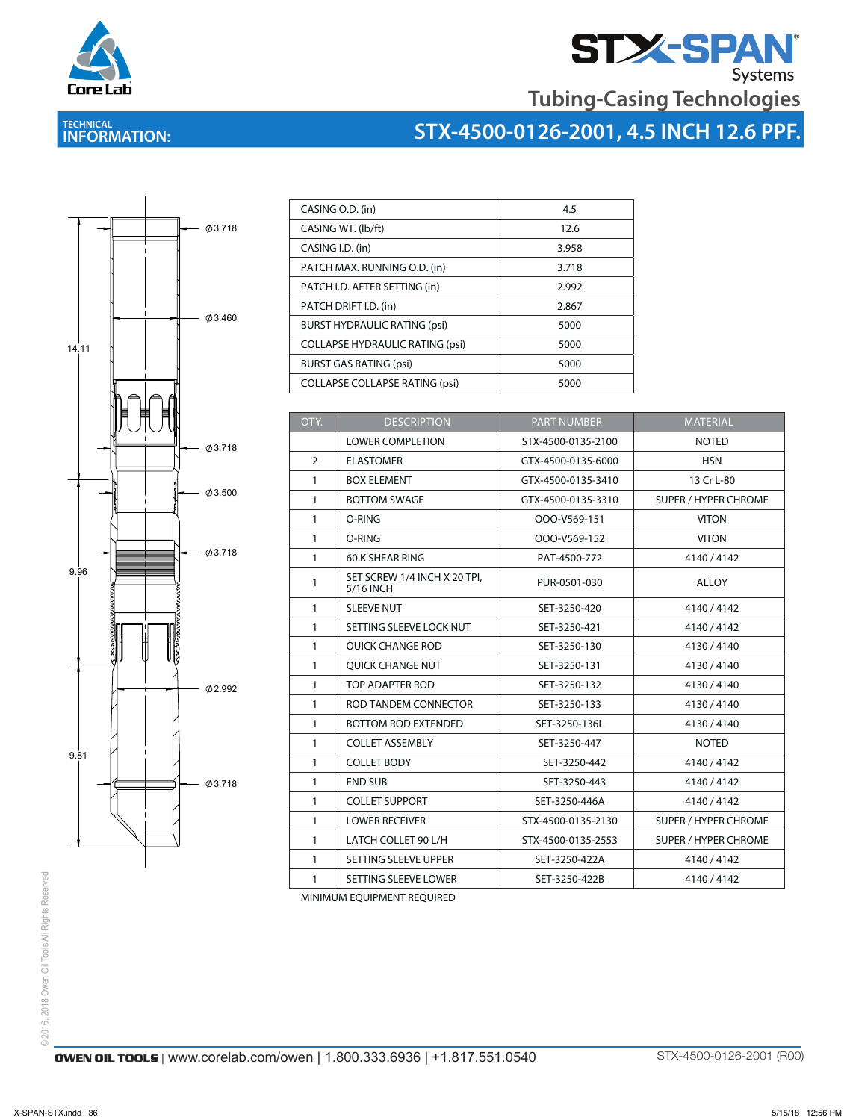

# **STX-SPAN**<br>Tubing-Casing Technologies

### **TECHNICAL INFORMATION:**





| CASING O.D. (in)                       | 4.5   |
|----------------------------------------|-------|
| CASING WT. (lb/ft)                     | 12.6  |
| CASING I.D. (in)                       | 3.958 |
| PATCH MAX. RUNNING O.D. (in)           | 3.718 |
| PATCH I.D. AFTER SETTING (in)          | 2.992 |
| PATCH DRIFT I.D. (in)                  | 2.867 |
| <b>BURST HYDRAULIC RATING (psi)</b>    | 5000  |
| <b>COLLAPSE HYDRAULIC RATING (psi)</b> | 5000  |
| <b>BURST GAS RATING (psi)</b>          | 5000  |
| <b>COLLAPSE COLLAPSE RATING (psi)</b>  | 5000  |

 $\overline{\mathcal{L}}$  , and the scale of the scale of the scale of the scale of the scale of the scale of the scale of the scale of the scale of the scale of the scale of the scale of the scale of the scale of the scale of the scal

| OTY.         | <b>DESCRIPTION</b>                        | <b>PART NUMBER</b> | <b>MATERIAL</b>             |
|--------------|-------------------------------------------|--------------------|-----------------------------|
|              | <b>LOWER COMPLETION</b>                   | STX-4500-0135-2100 | <b>NOTED</b>                |
| 2            | <b>ELASTOMER</b>                          | GTX-4500-0135-6000 | <b>HSN</b>                  |
| $\mathbf{1}$ | <b>BOX ELEMENT</b>                        | GTX-4500-0135-3410 | 13 Cr L-80                  |
| $\mathbf{1}$ | <b>BOTTOM SWAGE</b>                       | GTX-4500-0135-3310 | <b>SUPER / HYPER CHROME</b> |
| $\mathbf{1}$ | O-RING                                    | OOO-V569-151       | <b>VITON</b>                |
| $\mathbf{1}$ | O-RING                                    | OOO-V569-152       | <b>VITON</b>                |
| $\mathbf{1}$ | 60 K SHEAR RING                           | PAT-4500-772       | 4140/4142                   |
| 1            | SET SCREW 1/4 INCH X 20 TPI.<br>5/16 INCH | PUR-0501-030       | <b>ALLOY</b>                |
| $\mathbf{1}$ | <b>SLEEVE NUT</b>                         | SET-3250-420       | 4140/4142                   |
| $\mathbf{1}$ | SETTING SLEEVE LOCK NUT                   | SET-3250-421       | 4140/4142                   |
| $\mathbf{1}$ | <b>OUICK CHANGE ROD</b>                   | SET-3250-130       | 4130/4140                   |
| $\mathbf{1}$ | <b>OUICK CHANGE NUT</b>                   | SET-3250-131       | 4130/4140                   |
| $\mathbf{1}$ | TOP ADAPTER ROD                           | SET-3250-132       | 4130/4140                   |
| $\mathbf{1}$ | ROD TANDEM CONNECTOR                      | SET-3250-133       | 4130/4140                   |
| $\mathbf{1}$ | <b>BOTTOM ROD EXTENDED</b>                | SET-3250-136L      | 4130/4140                   |
| $\mathbf{1}$ | <b>COLLET ASSEMBLY</b>                    | SET-3250-447       | <b>NOTED</b>                |
| $\mathbf{1}$ | <b>COLLET BODY</b>                        | SET-3250-442       | 4140/4142                   |
| $\mathbf{1}$ | <b>END SUB</b>                            | SET-3250-443       | 4140/4142                   |
| $\mathbf{1}$ | <b>COLLET SUPPORT</b>                     | SET-3250-446A      | 4140/4142                   |
| $\mathbf{1}$ | <b>LOWER RECEIVER</b>                     | STX-4500-0135-2130 | <b>SUPER / HYPER CHROME</b> |
| $\mathbf{1}$ | LATCH COLLET 90 L/H                       | STX-4500-0135-2553 | <b>SUPER / HYPER CHROME</b> |
| $\mathbf{1}$ | SETTING SLEEVE UPPER                      | SET-3250-422A      | 4140/4142                   |
| 1            | SETTING SLEEVE LOWER                      | SET-3250-422B      | 4140/4142                   |
|              |                                           |                    |                             |

MINIMUM EQUIPMENT REQUIRED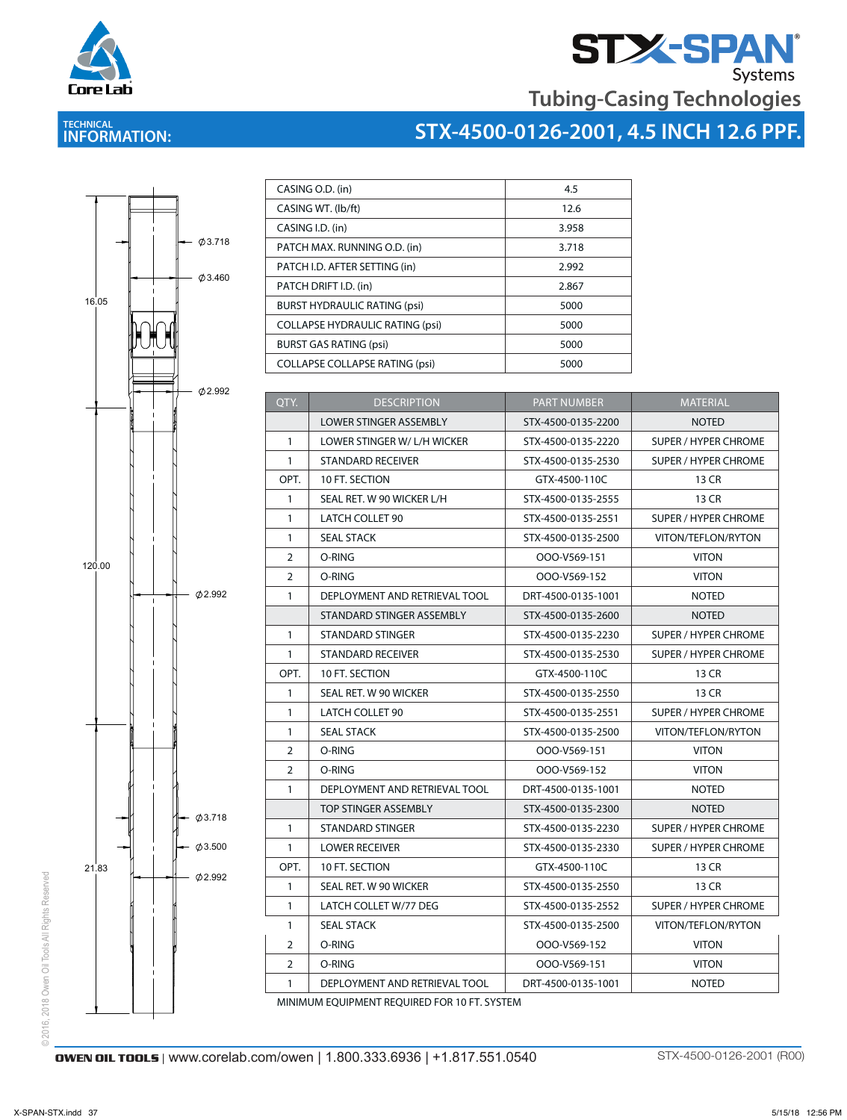



# **STX-4500-0126-2001, 4.5 INCH 12.6 PPF.**



**TECHNICAL INFORMATION:** 

Core Lab

| CASING O.D. (in)                       | 4.5   |
|----------------------------------------|-------|
| CASING WT. (lb/ft)                     | 12.6  |
| CASING I.D. (in)                       | 3.958 |
| PATCH MAX. RUNNING O.D. (in)           | 3.718 |
| PATCH I.D. AFTER SETTING (in)          | 2.992 |
| PATCH DRIFT I.D. (in)                  | 2.867 |
| <b>BURST HYDRAULIC RATING (psi)</b>    | 5000  |
| <b>COLLAPSE HYDRAULIC RATING (psi)</b> | 5000  |
| <b>BURST GAS RATING (psi)</b>          | 5000  |
| <b>COLLAPSE COLLAPSE RATING (psi)</b>  | 5000  |

STATISTICS ASSEMBLY NOTED ASSEMBLY NOTED ASSEMBLY NOTED ASSEMBLY NOTED ASSEMBLY NOTED ASSEMBLY NOTED ASSEMBLY NO

| QTY.           | <b>DESCRIPTION</b>                                | <b>PART NUMBER</b> | <b>MATERIAL</b>             |  |  |  |  |
|----------------|---------------------------------------------------|--------------------|-----------------------------|--|--|--|--|
|                | <b>LOWER STINGER ASSEMBLY</b>                     | STX-4500-0135-2200 | <b>NOTED</b>                |  |  |  |  |
| $\mathbf{1}$   | LOWER STINGER W/ L/H WICKER                       | STX-4500-0135-2220 | SUPER / HYPER CHROME        |  |  |  |  |
| $\mathbf{1}$   | <b>STANDARD RECEIVER</b>                          | STX-4500-0135-2530 | <b>SUPER / HYPER CHROME</b> |  |  |  |  |
| OPT.           | 10 FT. SECTION                                    | GTX-4500-110C      | 13 CR                       |  |  |  |  |
| $\mathbf{1}$   | SEAL RET. W 90 WICKER L/H                         | STX-4500-0135-2555 | 13 CR                       |  |  |  |  |
| $\mathbf{1}$   | <b>LATCH COLLET 90</b>                            | STX-4500-0135-2551 | <b>SUPER / HYPER CHROME</b> |  |  |  |  |
| $\mathbf{1}$   | <b>SEAL STACK</b>                                 | STX-4500-0135-2500 | VITON/TEFLON/RYTON          |  |  |  |  |
| $\overline{2}$ | O-RING                                            | OOO-V569-151       | <b>VITON</b>                |  |  |  |  |
| 2              | O-RING                                            | OOO-V569-152       | <b>VITON</b>                |  |  |  |  |
| $\mathbf{1}$   | DEPLOYMENT AND RETRIEVAL TOOL                     | DRT-4500-0135-1001 | <b>NOTED</b>                |  |  |  |  |
|                | STANDARD STINGER ASSEMBLY                         | STX-4500-0135-2600 | <b>NOTED</b>                |  |  |  |  |
| 1              | STANDARD STINGER                                  | STX-4500-0135-2230 | <b>SUPER / HYPER CHROME</b> |  |  |  |  |
| $\mathbf{1}$   | <b>STANDARD RECEIVER</b>                          | STX-4500-0135-2530 | SUPER / HYPER CHROME        |  |  |  |  |
| OPT.           | 10 FT. SECTION                                    | GTX-4500-110C      | 13 CR                       |  |  |  |  |
| 1              | SEAL RET. W 90 WICKER                             | STX-4500-0135-2550 | 13 CR                       |  |  |  |  |
| $\mathbf{1}$   | LATCH COLLET 90                                   | STX-4500-0135-2551 | SUPER / HYPER CHROME        |  |  |  |  |
| $\mathbf{1}$   | <b>SEAL STACK</b>                                 | STX-4500-0135-2500 | VITON/TEFLON/RYTON          |  |  |  |  |
| $\overline{2}$ | O-RING                                            | OOO-V569-151       | <b>VITON</b>                |  |  |  |  |
| $\overline{2}$ | O-RING                                            | OOO-V569-152       | <b>VITON</b>                |  |  |  |  |
| $\mathbf{1}$   | DEPLOYMENT AND RETRIEVAL TOOL                     | DRT-4500-0135-1001 | <b>NOTED</b>                |  |  |  |  |
|                | TOP STINGER ASSEMBLY                              | STX-4500-0135-2300 | <b>NOTED</b>                |  |  |  |  |
| $\mathbf{1}$   | <b>STANDARD STINGER</b>                           | STX-4500-0135-2230 | <b>SUPER / HYPER CHROME</b> |  |  |  |  |
| $\mathbf{1}$   | <b>LOWER RECEIVER</b>                             | STX-4500-0135-2330 | SUPER / HYPER CHROME        |  |  |  |  |
| OPT.           | 10 FT. SECTION                                    | GTX-4500-110C      | 13 CR                       |  |  |  |  |
| $\mathbf{1}$   | SEAL RET. W 90 WICKER                             | STX-4500-0135-2550 | 13 CR                       |  |  |  |  |
| $\mathbf{1}$   | LATCH COLLET W/77 DEG                             | STX-4500-0135-2552 | SUPER / HYPER CHROME        |  |  |  |  |
| $\mathbf{1}$   | <b>SEAL STACK</b>                                 | STX-4500-0135-2500 | VITON/TEFLON/RYTON          |  |  |  |  |
| $\overline{2}$ | O-RING                                            | OOO-V569-152       | <b>VITON</b>                |  |  |  |  |
| $\overline{2}$ | O-RING                                            | OOO-V569-151       | <b>VITON</b>                |  |  |  |  |
| $\mathbf{1}$   | DEPLOYMENT AND RETRIEVAL TOOL                     | DRT-4500-0135-1001 | <b>NOTED</b>                |  |  |  |  |
|                | MUNIMALINA COLUDMATNIT DEOLUDED COD 10 FT. CVCTEM |                    |                             |  |  |  |  |

MINIMUM EQUIPMENT REQUIRED FOR 10 FT. SYSTEM

© 2016, 2018 Owen Oil Tools All Rights Reserved

© 2016, 2018 Owen Oil Tools All Rights Reserved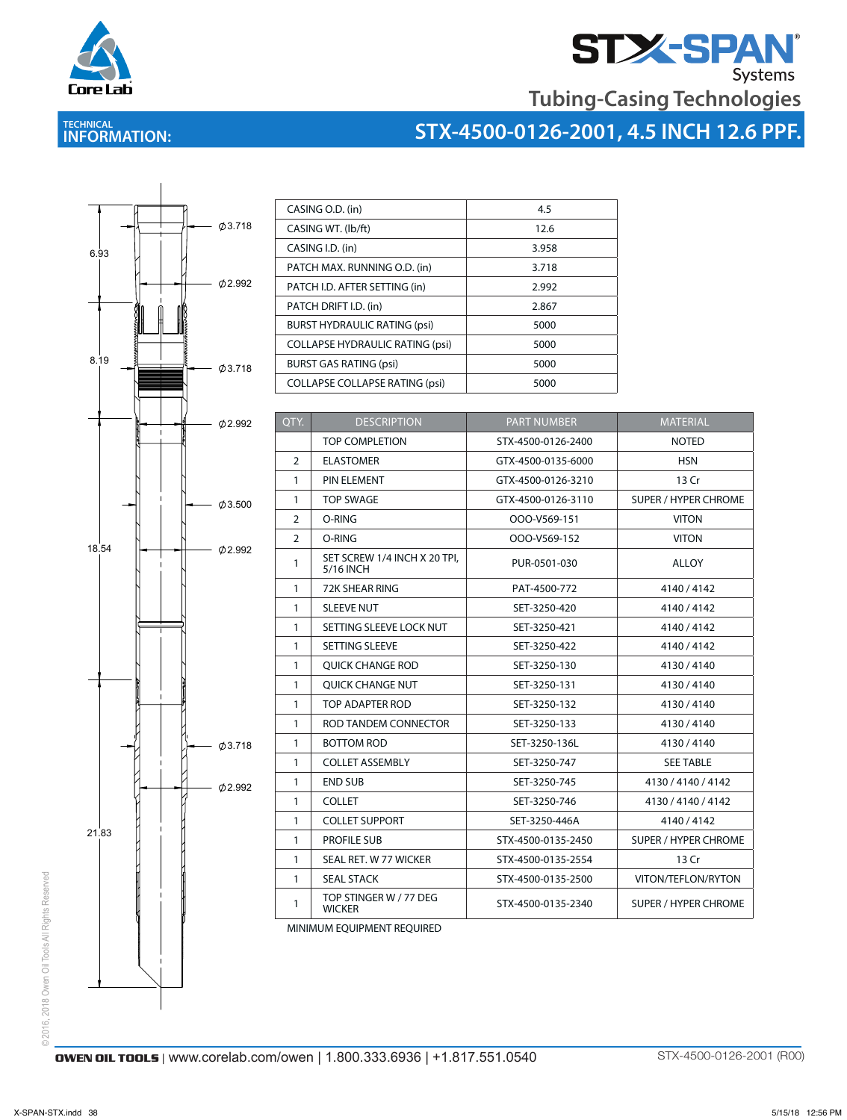

# **STASPAN**<br>Tubing-Casing Technologies

### **TECHNICAL INFORMATION:**

## **STX-4500-0126-2001, 4.5 INCH 12.6 PPF.**



| CASING O.D. (in)                       | 4.5   |
|----------------------------------------|-------|
| CASING WT. (lb/ft)                     | 12.6  |
| CASING I.D. (in)                       | 3.958 |
| PATCH MAX. RUNNING O.D. (in)           | 3.718 |
| PATCH I.D. AFTER SETTING (in)          | 2.992 |
| PATCH DRIFT I.D. (in)                  | 2.867 |
| <b>BURST HYDRAULIC RATING (psi)</b>    | 5000  |
| <b>COLLAPSE HYDRAULIC RATING (psi)</b> | 5000  |
| <b>BURST GAS RATING (psi)</b>          | 5000  |
| <b>COLLAPSE COLLAPSE RATING (psi)</b>  | 5000  |

| QTY.           | <b>DESCRIPTION</b>                        | <b>PART NUMBER</b> | <b>MATERIAL</b>             |
|----------------|-------------------------------------------|--------------------|-----------------------------|
|                | <b>TOP COMPLETION</b>                     | STX-4500-0126-2400 | <b>NOTED</b>                |
| $\overline{2}$ | <b>ELASTOMER</b>                          | GTX-4500-0135-6000 | <b>HSN</b>                  |
| 1              | PIN ELEMENT                               | GTX-4500-0126-3210 | 13 Cr                       |
| 1              | TOP SWAGE                                 | GTX-4500-0126-3110 | <b>SUPER / HYPER CHROME</b> |
| 2              | O-RING                                    | OOO-V569-151       | <b>VITON</b>                |
| 2              | O-RING                                    | OOO-V569-152       | <b>VITON</b>                |
| 1              | SET SCREW 1/4 INCH X 20 TPI,<br>5/16 INCH | PUR-0501-030       | <b>ALLOY</b>                |
| 1              | 72K SHEAR RING                            | PAT-4500-772       | 4140/4142                   |
| 1              | <b>SLEEVE NUT</b>                         | SET-3250-420       | 4140/4142                   |
| 1              | SETTING SLEEVE LOCK NUT                   | SET-3250-421       | 4140/4142                   |
| $\mathbf{1}$   | <b>SETTING SLEEVE</b>                     | SET-3250-422       | 4140/4142                   |
| 1              | <b>OUICK CHANGE ROD</b>                   | SET-3250-130       | 4130/4140                   |
| 1              | <b>OUICK CHANGE NUT</b>                   | SET-3250-131       | 4130/4140                   |
| 1              | TOP ADAPTER ROD                           | SET-3250-132       | 4130/4140                   |
| 1              | ROD TANDEM CONNECTOR                      | SET-3250-133       | 4130/4140                   |
| $\mathbf{1}$   | <b>BOTTOM ROD</b>                         | SET-3250-136L      | 4130/4140                   |
| 1              | <b>COLLET ASSEMBLY</b>                    | SET-3250-747       | <b>SEE TABLE</b>            |
| 1              | <b>END SUB</b>                            | SET-3250-745       | 4130 / 4140 / 4142          |
| 1              | <b>COLLET</b>                             | SET-3250-746       | 4130 / 4140 / 4142          |
| $\mathbf{1}$   | <b>COLLET SUPPORT</b>                     | SET-3250-446A      | 4140/4142                   |
| 1              | <b>PROFILE SUB</b>                        | STX-4500-0135-2450 | <b>SUPER / HYPER CHROME</b> |
| 1              | SEAL RET. W 77 WICKER                     | STX-4500-0135-2554 | 13 Cr                       |
| 1              | <b>SEAL STACK</b>                         | STX-4500-0135-2500 | VITON/TEFLON/RYTON          |
| 1              | TOP STINGER W / 77 DEG<br><b>WICKER</b>   | STX-4500-0135-2340 | <b>SUPER / HYPER CHROME</b> |

MINIMUM EQUIPMENT REQUIRED

© 2016, 2018 Owen Oil Tools All Rights Reserved © 2016, 2018 Owen Oil Tools All Rights Reserved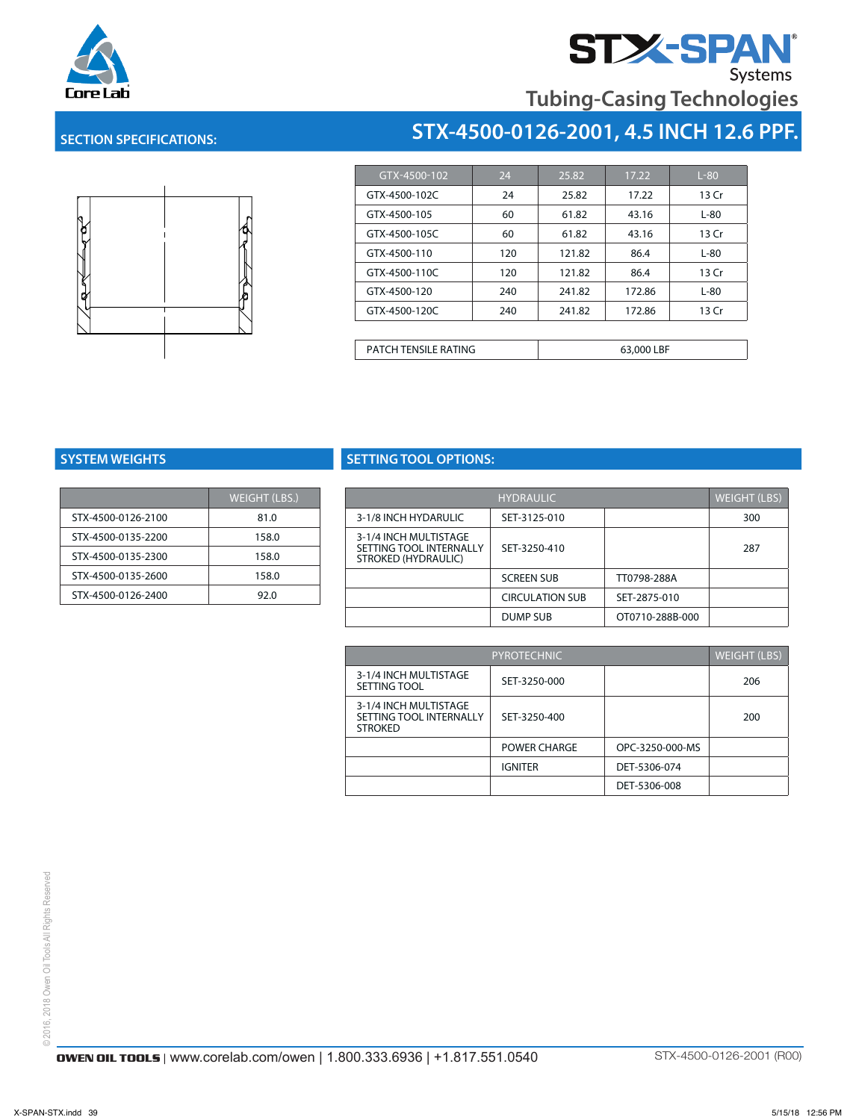

# **Tubing-Casing Technologies**

**STX-4500-0126-2001, 4.5 INCH 12.6 PPF.**

### **SECTION SPECIFICATIONS:**



| GTX-4500-102  | 24  | 25.82  | 17.22  | $L-80$ |
|---------------|-----|--------|--------|--------|
| GTX-4500-102C | 24  | 25.82  | 17.22  | 13 Cr  |
| GTX-4500-105  | 60  | 61.82  | 43.16  | $L-80$ |
| GTX-4500-105C | 60  | 61.82  | 43.16  | 13 Cr  |
| GTX-4500-110  | 120 | 121.82 | 86.4   | $L-80$ |
| GTX-4500-110C | 120 | 121.82 | 86.4   | 13 Cr  |
| GTX-4500-120  | 240 | 241.82 | 172.86 | $L-80$ |
| GTX-4500-120C | 240 | 241.82 | 172.86 | 13 Cr  |

PATCH TENSILE RATING **FRAMIUS** 63,000 LBF

|                    | <b>WEIGHT (LBS.)</b> |
|--------------------|----------------------|
| STX-4500-0126-2100 | 81.0                 |
| STX-4500-0135-2200 | 158.0                |
| STX-4500-0135-2300 | 158.0                |
| STX-4500-0135-2600 | 158.0                |
| STX-4500-0126-2400 | 92.0                 |

### **SYSTEM WEIGHTS SETTING TOOL OPTIONS:**

| WEIGHT (LBS.) |                                                | <b>HYDRAULIC</b>       |                 | <b>WEIGHT (LBS)</b> |
|---------------|------------------------------------------------|------------------------|-----------------|---------------------|
| 81.0          | 3-1/8 INCH HYDARULIC                           | SET-3125-010           |                 | 300                 |
| 158.0         | 3-1/4 INCH MULTISTAGE                          |                        |                 |                     |
| 158.0         | SETTING TOOL INTERNALLY<br>STROKED (HYDRAULIC) | SET-3250-410           |                 | 287                 |
| 158.0         |                                                | <b>SCREEN SUB</b>      | TT0798-288A     |                     |
| 92.0          |                                                | <b>CIRCULATION SUB</b> | SET-2875-010    |                     |
|               |                                                | DUMP SUB               | OT0710-288B-000 |                     |
|               |                                                |                        |                 |                     |

|                                                                    | <b>PYROTECHNIC</b> |                 |     |  |
|--------------------------------------------------------------------|--------------------|-----------------|-----|--|
| 3-1/4 INCH MULTISTAGE<br>SETTING TOOL                              | SET-3250-000       |                 | 206 |  |
| 3-1/4 INCH MULTISTAGE<br>SETTING TOOL INTERNALLY<br><b>STROKED</b> | SET-3250-400       |                 | 200 |  |
|                                                                    | POWER CHARGE       | OPC-3250-000-MS |     |  |
|                                                                    | <b>IGNITER</b>     | DET-5306-074    |     |  |
|                                                                    |                    | DET-5306-008    |     |  |